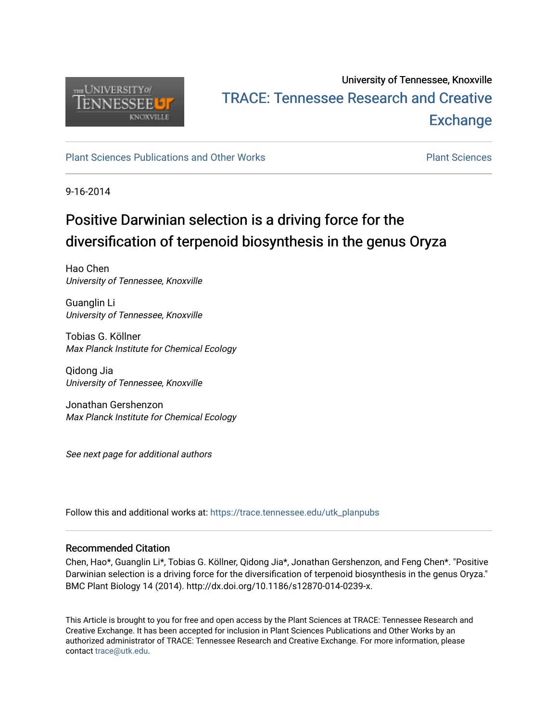

# University of Tennessee, Knoxville TRACE: T[ennessee Research and Cr](https://trace.tennessee.edu/)eative **Exchange**

#### [Plant Sciences Publications and Other Works](https://trace.tennessee.edu/utk_planpubs) [Plant Sciences](https://trace.tennessee.edu/utk-plan)

9-16-2014

# Positive Darwinian selection is a driving force for the diversification of terpenoid biosynthesis in the genus Oryza

Hao Chen University of Tennessee, Knoxville

Guanglin Li University of Tennessee, Knoxville

Tobias G. Köllner Max Planck Institute for Chemical Ecology

Qidong Jia University of Tennessee, Knoxville

Jonathan Gershenzon Max Planck Institute for Chemical Ecology

See next page for additional authors

Follow this and additional works at: [https://trace.tennessee.edu/utk\\_planpubs](https://trace.tennessee.edu/utk_planpubs?utm_source=trace.tennessee.edu%2Futk_planpubs%2F76&utm_medium=PDF&utm_campaign=PDFCoverPages) 

#### Recommended Citation

Chen, Hao\*, Guanglin Li\*, Tobias G. Köllner, Qidong Jia\*, Jonathan Gershenzon, and Feng Chen\*. "Positive Darwinian selection is a driving force for the diversification of terpenoid biosynthesis in the genus Oryza." BMC Plant Biology 14 (2014). http://dx.doi.org/10.1186/s12870-014-0239-x.

This Article is brought to you for free and open access by the Plant Sciences at TRACE: Tennessee Research and Creative Exchange. It has been accepted for inclusion in Plant Sciences Publications and Other Works by an authorized administrator of TRACE: Tennessee Research and Creative Exchange. For more information, please contact [trace@utk.edu](mailto:trace@utk.edu).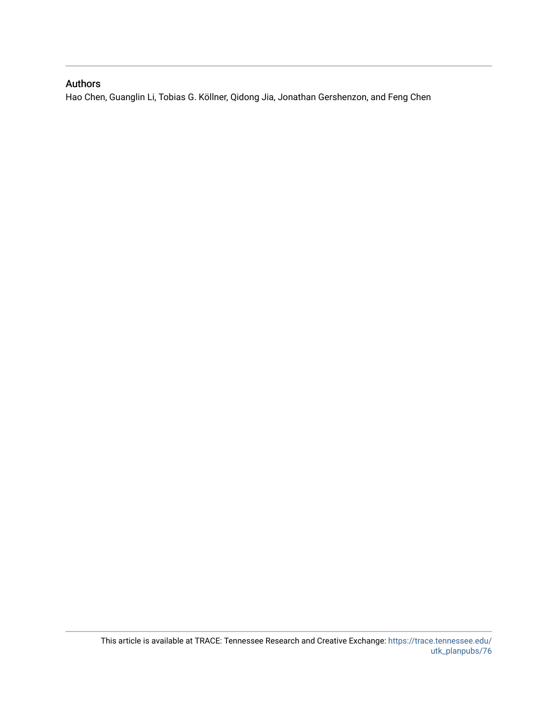### Authors

Hao Chen, Guanglin Li, Tobias G. Köllner, Qidong Jia, Jonathan Gershenzon, and Feng Chen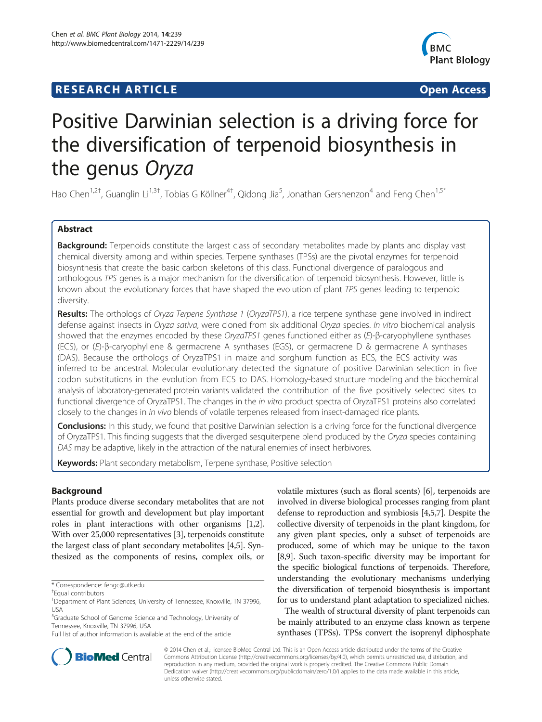## **RESEARCH ARTICLE Example 2014 CONSIDERING CONSIDERING CONSIDERING CONSIDERING CONSIDERING CONSIDERING CONSIDERING CONSIDERING CONSIDERING CONSIDERING CONSIDERING CONSIDERING CONSIDERING CONSIDERING CONSIDERING CONSIDE**



# Positive Darwinian selection is a driving force for the diversification of terpenoid biosynthesis in the genus Oryza

Hao Chen<sup>1,2†</sup>, Guanglin Li<sup>1,3†</sup>, Tobias G Köllner<sup>4†</sup>, Qidong Jia<sup>5</sup>, Jonathan Gershenzon<sup>4</sup> and Feng Chen<sup>1,5\*</sup>

#### Abstract

Background: Terpenoids constitute the largest class of secondary metabolites made by plants and display vast chemical diversity among and within species. Terpene synthases (TPSs) are the pivotal enzymes for terpenoid biosynthesis that create the basic carbon skeletons of this class. Functional divergence of paralogous and orthologous TPS genes is a major mechanism for the diversification of terpenoid biosynthesis. However, little is known about the evolutionary forces that have shaped the evolution of plant TPS genes leading to terpenoid diversity.

Results: The orthologs of Oryza Terpene Synthase 1 (OryzaTPS1), a rice terpene synthase gene involved in indirect defense against insects in Oryza sativa, were cloned from six additional Oryza species. In vitro biochemical analysis showed that the enzymes encoded by these OryzaTPS1 genes functioned either as (E)-β-caryophyllene synthases (ECS), or (E)-β-caryophyllene & germacrene A synthases (EGS), or germacrene D & germacrene A synthases (DAS). Because the orthologs of OryzaTPS1 in maize and sorghum function as ECS, the ECS activity was inferred to be ancestral. Molecular evolutionary detected the signature of positive Darwinian selection in five codon substitutions in the evolution from ECS to DAS. Homology-based structure modeling and the biochemical analysis of laboratory-generated protein variants validated the contribution of the five positively selected sites to functional divergence of OryzaTPS1. The changes in the in vitro product spectra of OryzaTPS1 proteins also correlated closely to the changes in in vivo blends of volatile terpenes released from insect-damaged rice plants.

Conclusions: In this study, we found that positive Darwinian selection is a driving force for the functional divergence of OryzaTPS1. This finding suggests that the diverged sesquiterpene blend produced by the Oryza species containing DAS may be adaptive, likely in the attraction of the natural enemies of insect herbivores.

Keywords: Plant secondary metabolism, Terpene synthase, Positive selection

#### Background

Plants produce diverse secondary metabolites that are not essential for growth and development but play important roles in plant interactions with other organisms [[1](#page-12-0),[2](#page-12-0)]. With over 25,000 representatives [[3\]](#page-12-0), terpenoids constitute the largest class of plant secondary metabolites [[4,5](#page-12-0)]. Synthesized as the components of resins, complex oils, or volatile mixtures (such as floral scents) [\[6\]](#page-12-0), terpenoids are involved in diverse biological processes ranging from plant defense to reproduction and symbiosis [\[4,5,7\]](#page-12-0). Despite the collective diversity of terpenoids in the plant kingdom, for any given plant species, only a subset of terpenoids are produced, some of which may be unique to the taxon [[8,9](#page-12-0)]. Such taxon-specific diversity may be important for the specific biological functions of terpenoids. Therefore, understanding the evolutionary mechanisms underlying the diversification of terpenoid biosynthesis is important for us to understand plant adaptation to specialized niches.

The wealth of structural diversity of plant terpenoids can be mainly attributed to an enzyme class known as terpene synthases (TPSs). TPSs convert the isoprenyl diphosphate



© 2014 Chen et al.; licensee BioMed Central Ltd. This is an Open Access article distributed under the terms of the Creative Commons Attribution License [\(http://creativecommons.org/licenses/by/4.0\)](http://creativecommons.org/licenses/by/4.0), which permits unrestricted use, distribution, and reproduction in any medium, provided the original work is properly credited. The Creative Commons Public Domain Dedication waiver [\(http://creativecommons.org/publicdomain/zero/1.0/](http://creativecommons.org/publicdomain/zero/1.0/)) applies to the data made available in this article, unless otherwise stated.

<sup>\*</sup> Correspondence: [fengc@utk.edu](mailto:fengc@utk.edu) †

Equal contributors

<sup>&</sup>lt;sup>1</sup>Department of Plant Sciences, University of Tennessee, Knoxville, TN 37996, USA

<sup>5</sup> Graduate School of Genome Science and Technology, University of Tennessee, Knoxville, TN 37996, USA

Full list of author information is available at the end of the article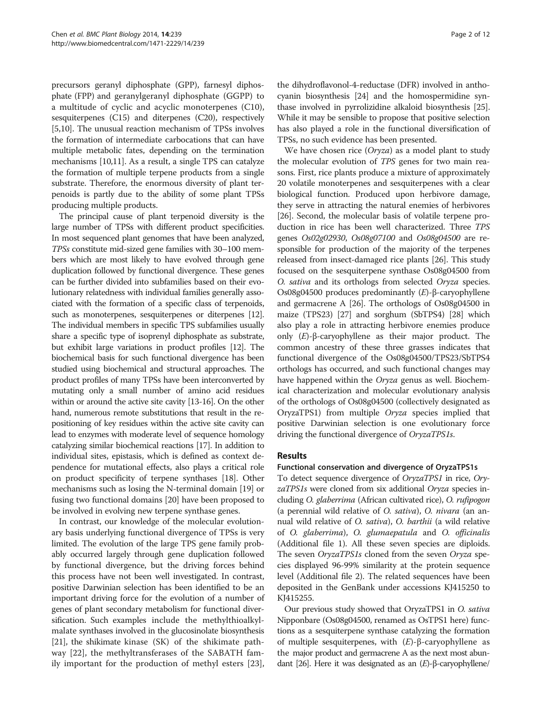precursors geranyl diphosphate (GPP), farnesyl diphosphate (FPP) and geranylgeranyl diphosphate (GGPP) to a multitude of cyclic and acyclic monoterpenes (C10), sesquiterpenes (C15) and diterpenes (C20), respectively [[5,10](#page-12-0)]. The unusual reaction mechanism of TPSs involves the formation of intermediate carbocations that can have multiple metabolic fates, depending on the termination mechanisms [\[10,11\]](#page-12-0). As a result, a single TPS can catalyze the formation of multiple terpene products from a single substrate. Therefore, the enormous diversity of plant terpenoids is partly due to the ability of some plant TPSs producing multiple products.

The principal cause of plant terpenoid diversity is the large number of TPSs with different product specificities. In most sequenced plant genomes that have been analyzed, TPSs constitute mid-sized gene families with 30–100 members which are most likely to have evolved through gene duplication followed by functional divergence. These genes can be further divided into subfamilies based on their evolutionary relatedness with individual families generally associated with the formation of a specific class of terpenoids, such as monoterpenes, sesquiterpenes or diterpenes [\[12](#page-12-0)]. The individual members in specific TPS subfamilies usually share a specific type of isoprenyl diphosphate as substrate, but exhibit large variations in product profiles [[12](#page-12-0)]. The biochemical basis for such functional divergence has been studied using biochemical and structural approaches. The product profiles of many TPSs have been interconverted by mutating only a small number of amino acid residues within or around the active site cavity [\[13-16\]](#page-12-0). On the other hand, numerous remote substitutions that result in the repositioning of key residues within the active site cavity can lead to enzymes with moderate level of sequence homology catalyzing similar biochemical reactions [[17](#page-12-0)]. In addition to individual sites, epistasis, which is defined as context dependence for mutational effects, also plays a critical role on product specificity of terpene synthases [[18](#page-12-0)]. Other mechanisms such as losing the N-terminal domain [\[19\]](#page-12-0) or fusing two functional domains [\[20\]](#page-12-0) have been proposed to be involved in evolving new terpene synthase genes.

In contrast, our knowledge of the molecular evolutionary basis underlying functional divergence of TPSs is very limited. The evolution of the large TPS gene family probably occurred largely through gene duplication followed by functional divergence, but the driving forces behind this process have not been well investigated. In contrast, positive Darwinian selection has been identified to be an important driving force for the evolution of a number of genes of plant secondary metabolism for functional diversification. Such examples include the methylthioalkylmalate synthases involved in the glucosinolate biosynthesis [[21](#page-12-0)], the shikimate kinase (SK) of the shikimate pathway [[22](#page-12-0)], the methyltransferases of the SABATH family important for the production of methyl esters [\[23](#page-12-0)], the dihydroflavonol-4-reductase (DFR) involved in anthocyanin biosynthesis [[24](#page-12-0)] and the homospermidine synthase involved in pyrrolizidine alkaloid biosynthesis [[25](#page-12-0)]. While it may be sensible to propose that positive selection has also played a role in the functional diversification of TPSs, no such evidence has been presented.

We have chosen rice (*Oryza*) as a model plant to study the molecular evolution of TPS genes for two main reasons. First, rice plants produce a mixture of approximately 20 volatile monoterpenes and sesquiterpenes with a clear biological function. Produced upon herbivore damage, they serve in attracting the natural enemies of herbivores [[26](#page-12-0)]. Second, the molecular basis of volatile terpene production in rice has been well characterized. Three TPS genes Os02g02930, Os08g07100 and Os08g04500 are responsible for production of the majority of the terpenes released from insect-damaged rice plants [[26](#page-12-0)]. This study focused on the sesquiterpene synthase Os08g04500 from O. sativa and its orthologs from selected Oryza species. Os08g04500 produces predominantly  $(E)$ -β-caryophyllene and germacrene A [\[26\]](#page-12-0). The orthologs of Os08g04500 in maize (TPS23) [[27](#page-12-0)] and sorghum (SbTPS4) [[28](#page-12-0)] which also play a role in attracting herbivore enemies produce only (E)-β-caryophyllene as their major product. The common ancestry of these three grasses indicates that functional divergence of the Os08g04500/TPS23/SbTPS4 orthologs has occurred, and such functional changes may have happened within the Oryza genus as well. Biochemical characterization and molecular evolutionary analysis of the orthologs of Os08g04500 (collectively designated as OryzaTPS1) from multiple Oryza species implied that positive Darwinian selection is one evolutionary force driving the functional divergence of OryzaTPS1s.

#### Results

#### Functional conservation and divergence of OryzaTPS1s

To detect sequence divergence of OryzaTPS1 in rice, OryzaTPS1s were cloned from six additional Oryza species including O. glaberrima (African cultivated rice), O. rufipogon (a perennial wild relative of O. sativa), O. nivara (an annual wild relative of O. sativa), O. barthii (a wild relative of O. glaberrima), O. glumaepatula and O. officinalis (Additional file [1](#page-12-0)). All these seven species are diploids. The seven OryzaTPS1s cloned from the seven Oryza species displayed 96-99% similarity at the protein sequence level (Additional file [2](#page-12-0)). The related sequences have been deposited in the GenBank under accessions KJ415250 to KJ415255.

Our previous study showed that OryzaTPS1 in O. sativa Nipponbare (Os08g04500, renamed as OsTPS1 here) functions as a sesquiterpene synthase catalyzing the formation of multiple sesquiterpenes, with  $(E)$ -β-caryophyllene as the major product and germacrene A as the next most abundant [\[26](#page-12-0)]. Here it was designated as an (E)-β-caryophyllene/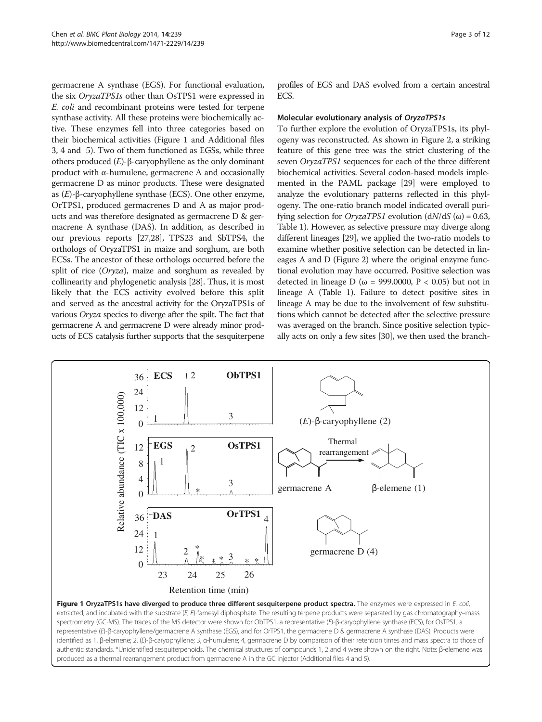<span id="page-4-0"></span>germacrene A synthase (EGS). For functional evaluation, the six OryzaTPS1s other than OsTPS1 were expressed in E. coli and recombinant proteins were tested for terpene synthase activity. All these proteins were biochemically active. These enzymes fell into three categories based on their biochemical activities (Figure 1 and Additional files [3, 4](#page-12-0) and [5](#page-12-0)). Two of them functioned as EGSs, while three others produced (E)-β-caryophyllene as the only dominant product with α-humulene, germacrene A and occasionally germacrene D as minor products. These were designated as (E)-β-caryophyllene synthase (ECS). One other enzyme, OrTPS1, produced germacrenes D and A as major products and was therefore designated as germacrene D & germacrene A synthase (DAS). In addition, as described in our previous reports [[27,28](#page-12-0)], TPS23 and SbTPS4, the orthologs of OryzaTPS1 in maize and sorghum, are both ECSs. The ancestor of these orthologs occurred before the split of rice (Oryza), maize and sorghum as revealed by collinearity and phylogenetic analysis [[28](#page-12-0)]. Thus, it is most likely that the ECS activity evolved before this split and served as the ancestral activity for the OryzaTPS1s of various Oryza species to diverge after the spilt. The fact that germacrene A and germacrene D were already minor products of ECS catalysis further supports that the sesquiterpene

profiles of EGS and DAS evolved from a certain ancestral ECS.

#### Molecular evolutionary analysis of OryzaTPS1s

To further explore the evolution of OryzaTPS1s, its phylogeny was reconstructed. As shown in Figure [2](#page-5-0), a striking feature of this gene tree was the strict clustering of the seven OryzaTPS1 sequences for each of the three different biochemical activities. Several codon-based models implemented in the PAML package [[29](#page-13-0)] were employed to analyze the evolutionary patterns reflected in this phylogeny. The one-ratio branch model indicated overall purifying selection for *OryzaTPS1* evolution  $\frac{dN}{dS}(\omega) = 0.63$ , Table [1](#page-5-0)). However, as selective pressure may diverge along different lineages [\[29\]](#page-13-0), we applied the two-ratio models to examine whether positive selection can be detected in lineages A and D (Figure [2](#page-5-0)) where the original enzyme functional evolution may have occurred. Positive selection was detected in lineage D ( $\omega$  = 999.0000, P < 0.05) but not in lineage A (Table [1](#page-5-0)). Failure to detect positive sites in lineage A may be due to the involvement of few substitutions which cannot be detected after the selective pressure was averaged on the branch. Since positive selection typically acts on only a few sites [[30](#page-13-0)], we then used the branch-



produced as a thermal rearrangement product from germacrene A in the GC injector (Additional files [4](#page-12-0) and [5\)](#page-12-0).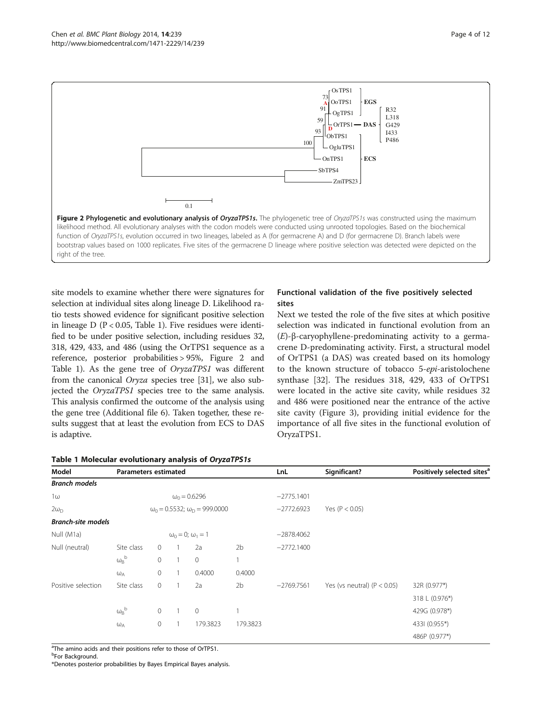<span id="page-5-0"></span>

site models to examine whether there were signatures for selection at individual sites along lineage D. Likelihood ratio tests showed evidence for significant positive selection in lineage  $D (P < 0.05,$  Table 1). Five residues were identified to be under positive selection, including residues 32, 318, 429, 433, and 486 (using the OrTPS1 sequence as a reference, posterior probabilities > 95%, Figure 2 and Table 1). As the gene tree of OryzaTPS1 was different from the canonical Oryza species tree [\[31\]](#page-13-0), we also subjected the OryzaTPS1 species tree to the same analysis. This analysis confirmed the outcome of the analysis using the gene tree (Additional file [6](#page-12-0)). Taken together, these results suggest that at least the evolution from ECS to DAS is adaptive.

|  |  | Table 1 Molecular evolutionary analysis of OryzaTPS1s |  |  |
|--|--|-------------------------------------------------------|--|--|
|--|--|-------------------------------------------------------|--|--|

#### Functional validation of the five positively selected sites

Next we tested the role of the five sites at which positive selection was indicated in functional evolution from an (E)-β-caryophyllene-predominating activity to a germacrene D-predominating activity. First, a structural model of OrTPS1 (a DAS) was created based on its homology to the known structure of tobacco 5-epi-aristolochene synthase [[32\]](#page-13-0). The residues 318, 429, 433 of OrTPS1 were located in the active site cavity, while residues 32 and 486 were positioned near the entrance of the active site cavity (Figure [3](#page-6-0)), providing initial evidence for the importance of all five sites in the functional evolution of OryzaTPS1.

| Model                     |                                  | <b>Parameters estimated</b>                 |                |                     |                | LnL          | Significant?                  | Positively selected sites <sup>a</sup> |
|---------------------------|----------------------------------|---------------------------------------------|----------------|---------------------|----------------|--------------|-------------------------------|----------------------------------------|
| <b>Branch models</b>      |                                  |                                             |                |                     |                |              |                               |                                        |
| $1\omega$                 |                                  |                                             |                | $\omega_0 = 0.6296$ |                | $-2775.1401$ |                               |                                        |
| $2\omega_{\text{D}}$      |                                  | $\omega_0 = 0.5532$ ; $\omega_D = 999.0000$ |                |                     |                | $-2772.6923$ | Yes ( $P < 0.05$ )            |                                        |
| <b>Branch-site models</b> |                                  |                                             |                |                     |                |              |                               |                                        |
| Null (M1a)                | $\omega_0 = 0$ ; $\omega_1 = 1$  |                                             |                |                     |                | $-2878.4062$ |                               |                                        |
| Null (neutral)            | Site class                       | $\mathbf{0}$                                |                | 2a                  | 2 <sub>b</sub> | $-2772.1400$ |                               |                                        |
|                           | $\omega_B^{\ b}$                 | $\mathbf 0$                                 | $\overline{1}$ | $\overline{0}$      | $\overline{1}$ |              |                               |                                        |
|                           | $\omega_A$                       | $\mathbf 0$                                 |                | 0.4000              | 0.4000         |              |                               |                                        |
| Positive selection        | Site class                       | $\mathbf 0$                                 |                | 2a                  | 2 <sub>b</sub> | $-2769.7561$ | Yes (vs neutral) $(P < 0.05)$ | 32R (0.977*)                           |
|                           |                                  |                                             |                |                     |                |              |                               | 318 L (0.976*)                         |
|                           | $\omega_{\text{B}}{}^{\text{b}}$ | $\mathbf 0$                                 | $\overline{1}$ | $\overline{0}$      |                |              |                               | 429G (0.978*)                          |
|                           | $\omega_A$                       | $\mathbf 0$                                 |                | 179.3823            | 179.3823       |              |                               | 4331 (0.955*)                          |
|                           |                                  |                                             |                |                     |                |              |                               | 486P (0.977*)                          |

<sup>a</sup>The amino acids and their positions refer to those of OrTPS1.

<sup>b</sup>For Background.

\*Denotes posterior probabilities by Bayes Empirical Bayes analysis.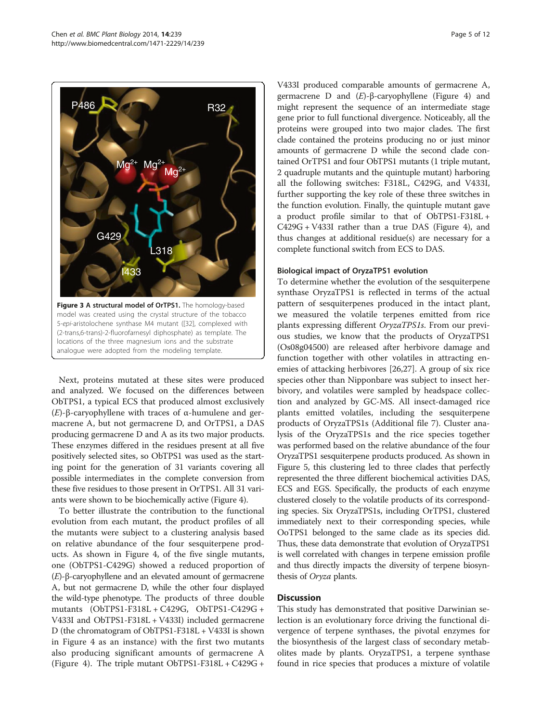<span id="page-6-0"></span>

Next, proteins mutated at these sites were produced and analyzed. We focused on the differences between ObTPS1, a typical ECS that produced almost exclusively (E)-β-caryophyllene with traces of α-humulene and germacrene A, but not germacrene D, and OrTPS1, a DAS producing germacrene D and A as its two major products. These enzymes differed in the residues present at all five positively selected sites, so ObTPS1 was used as the starting point for the generation of 31 variants covering all possible intermediates in the complete conversion from these five residues to those present in OrTPS1. All 31 variants were shown to be biochemically active (Figure [4\)](#page-7-0).

To better illustrate the contribution to the functional evolution from each mutant, the product profiles of all the mutants were subject to a clustering analysis based on relative abundance of the four sesquiterpene products. As shown in Figure [4,](#page-7-0) of the five single mutants, one (ObTPS1-C429G) showed a reduced proportion of (E)-β-caryophyllene and an elevated amount of germacrene A, but not germacrene D, while the other four displayed the wild-type phenotype. The products of three double mutants (ObTPS1-F318L + C429G, ObTPS1-C429G + V433I and ObTPS1-F318L + V433I) included germacrene D (the chromatogram of ObTPS1-F318L + V433I is shown in Figure [4](#page-7-0) as an instance) with the first two mutants also producing significant amounts of germacrene A (Figure [4\)](#page-7-0). The triple mutant ObTPS1-F318L + C429G +

V433I produced comparable amounts of germacrene A, germacrene D and (E)-β-caryophyllene (Figure [4\)](#page-7-0) and might represent the sequence of an intermediate stage gene prior to full functional divergence. Noticeably, all the proteins were grouped into two major clades. The first clade contained the proteins producing no or just minor amounts of germacrene D while the second clade contained OrTPS1 and four ObTPS1 mutants (1 triple mutant, 2 quadruple mutants and the quintuple mutant) harboring all the following switches: F318L, C429G, and V433I, further supporting the key role of these three switches in the function evolution. Finally, the quintuple mutant gave a product profile similar to that of ObTPS1-F318L + C429G + V433I rather than a true DAS (Figure [4](#page-7-0)), and thus changes at additional residue(s) are necessary for a complete functional switch from ECS to DAS.

#### Biological impact of OryzaTPS1 evolution

To determine whether the evolution of the sesquiterpene synthase OryzaTPS1 is reflected in terms of the actual pattern of sesquiterpenes produced in the intact plant, we measured the volatile terpenes emitted from rice plants expressing different OryzaTPS1s. From our previous studies, we know that the products of OryzaTPS1 (Os08g04500) are released after herbivore damage and function together with other volatiles in attracting enemies of attacking herbivores [\[26,27\]](#page-12-0). A group of six rice species other than Nipponbare was subject to insect herbivory, and volatiles were sampled by headspace collection and analyzed by GC-MS. All insect-damaged rice plants emitted volatiles, including the sesquiterpene products of OryzaTPS1s (Additional file [7](#page-12-0)). Cluster analysis of the OryzaTPS1s and the rice species together was performed based on the relative abundance of the four OryzaTPS1 sesquiterpene products produced. As shown in Figure [5](#page-8-0), this clustering led to three clades that perfectly represented the three different biochemical activities DAS, ECS and EGS. Specifically, the products of each enzyme clustered closely to the volatile products of its corresponding species. Six OryzaTPS1s, including OrTPS1, clustered immediately next to their corresponding species, while OoTPS1 belonged to the same clade as its species did. Thus, these data demonstrate that evolution of OryzaTPS1 is well correlated with changes in terpene emission profile and thus directly impacts the diversity of terpene biosynthesis of Oryza plants.

#### **Discussion**

This study has demonstrated that positive Darwinian selection is an evolutionary force driving the functional divergence of terpene synthases, the pivotal enzymes for the biosynthesis of the largest class of secondary metabolites made by plants. OryzaTPS1, a terpene synthase found in rice species that produces a mixture of volatile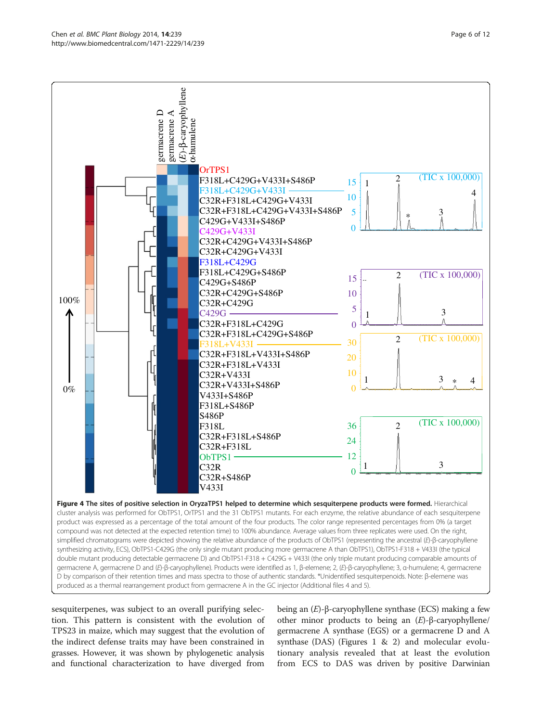<span id="page-7-0"></span>

sesquiterpenes, was subject to an overall purifying selection. This pattern is consistent with the evolution of TPS23 in maize, which may suggest that the evolution of the indirect defense traits may have been constrained in grasses. However, it was shown by phylogenetic analysis and functional characterization to have diverged from

being an (E)-β-caryophyllene synthase (ECS) making a few other minor products to being an  $(E)$ -β-caryophyllene/ germacrene A synthase (EGS) or a germacrene D and A synthase (DAS) (Figures [1](#page-4-0) & [2\)](#page-5-0) and molecular evolutionary analysis revealed that at least the evolution from ECS to DAS was driven by positive Darwinian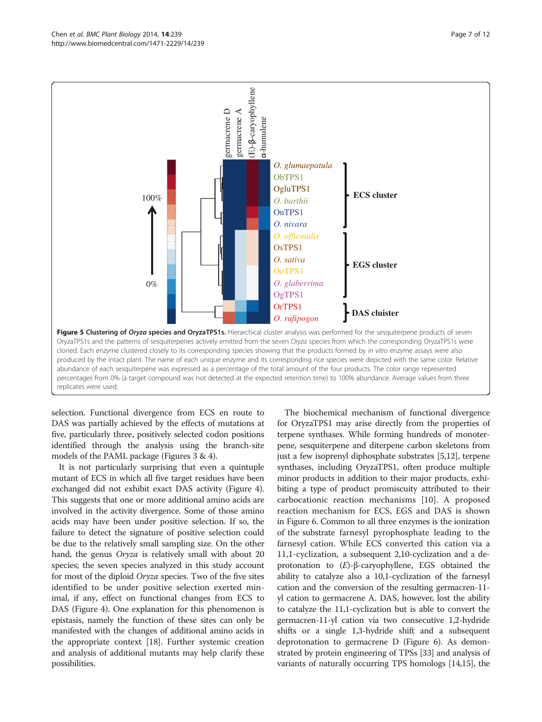<span id="page-8-0"></span>

selection. Functional divergence from ECS en route to DAS was partially achieved by the effects of mutations at five, particularly three, positively selected codon positions identified through the analysis using the branch-site models of the PAML package (Figures [3](#page-6-0) & [4\)](#page-7-0).

It is not particularly surprising that even a quintuple mutant of ECS in which all five target residues have been exchanged did not exhibit exact DAS activity (Figure [4](#page-7-0)). This suggests that one or more additional amino acids are involved in the activity divergence. Some of those amino acids may have been under positive selection. If so, the failure to detect the signature of positive selection could be due to the relatively small sampling size. On the other hand, the genus *Oryza* is relatively small with about 20 species; the seven species analyzed in this study account for most of the diploid Oryza species. Two of the five sites identified to be under positive selection exerted minimal, if any, effect on functional changes from ECS to DAS (Figure [4\)](#page-7-0). One explanation for this phenomenon is epistasis, namely the function of these sites can only be manifested with the changes of additional amino acids in the appropriate context [[18](#page-12-0)]. Further systemic creation and analysis of additional mutants may help clarify these possibilities.

The biochemical mechanism of functional divergence for OryzaTPS1 may arise directly from the properties of terpene synthases. While forming hundreds of monoterpene, sesquiterpene and diterpene carbon skeletons from just a few isoprenyl diphosphate substrates [[5,12](#page-12-0)], terpene synthases, including OryzaTPS1, often produce multiple minor products in addition to their major products, exhibiting a type of product promiscuity attributed to their carbocationic reaction mechanisms [\[10](#page-12-0)]. A proposed reaction mechanism for ECS, EGS and DAS is shown in Figure [6.](#page-9-0) Common to all three enzymes is the ionization of the substrate farnesyl pyrophosphate leading to the farnesyl cation. While ECS converted this cation via a 11,1-cyclization, a subsequent 2,10-cyclization and a deprotonation to  $(E)$ -β-caryophyllene, EGS obtained the ability to catalyze also a 10,1-cyclization of the farnesyl cation and the conversion of the resulting germacren-11 yl cation to germacrene A. DAS, however, lost the ability to catalyze the 11,1-cyclization but is able to convert the germacren-11-yl cation via two consecutive 1,2-hydride shifts or a single 1,3-hydride shift and a subsequent deprotonation to germacrene D (Figure [6](#page-9-0)). As demonstrated by protein engineering of TPSs [\[33](#page-13-0)] and analysis of variants of naturally occurring TPS homologs [\[14,15](#page-12-0)], the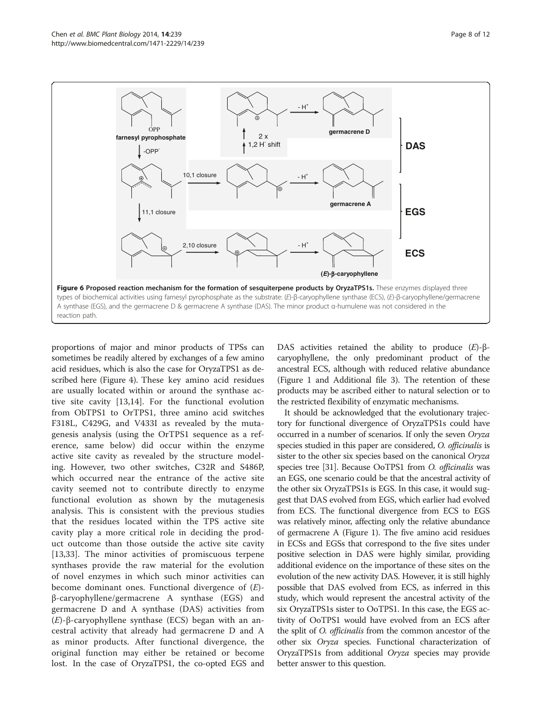<span id="page-9-0"></span>

proportions of major and minor products of TPSs can sometimes be readily altered by exchanges of a few amino acid residues, which is also the case for OryzaTPS1 as described here (Figure [4\)](#page-7-0). These key amino acid residues are usually located within or around the synthase active site cavity [[13,14](#page-12-0)]. For the functional evolution from ObTPS1 to OrTPS1, three amino acid switches F318L, C429G, and V433I as revealed by the mutagenesis analysis (using the OrTPS1 sequence as a reference, same below) did occur within the enzyme active site cavity as revealed by the structure modeling. However, two other switches, C32R and S486P, which occurred near the entrance of the active site cavity seemed not to contribute directly to enzyme functional evolution as shown by the mutagenesis analysis. This is consistent with the previous studies that the residues located within the TPS active site cavity play a more critical role in deciding the product outcome than those outside the active site cavity [[13](#page-12-0)[,33](#page-13-0)]. The minor activities of promiscuous terpene synthases provide the raw material for the evolution of novel enzymes in which such minor activities can become dominant ones. Functional divergence of  $(E)$ β-caryophyllene/germacrene A synthase (EGS) and germacrene D and A synthase (DAS) activities from  $(E)$ -β-caryophyllene synthase (ECS) began with an ancestral activity that already had germacrene D and A as minor products. After functional divergence, the original function may either be retained or become lost. In the case of OryzaTPS1, the co-opted EGS and DAS activities retained the ability to produce  $(E)$ -βcaryophyllene, the only predominant product of the ancestral ECS, although with reduced relative abundance (Figure [1](#page-4-0) and Additional file [3](#page-12-0)). The retention of these products may be ascribed either to natural selection or to the restricted flexibility of enzymatic mechanisms.

It should be acknowledged that the evolutionary trajectory for functional divergence of OryzaTPS1s could have occurred in a number of scenarios. If only the seven Oryza species studied in this paper are considered, O. officinalis is sister to the other six species based on the canonical Oryza species tree [\[31\]](#page-13-0). Because OoTPS1 from O. officinalis was an EGS, one scenario could be that the ancestral activity of the other six OryzaTPS1s is EGS. In this case, it would suggest that DAS evolved from EGS, which earlier had evolved from ECS. The functional divergence from ECS to EGS was relatively minor, affecting only the relative abundance of germacrene A (Figure [1\)](#page-4-0). The five amino acid residues in ECSs and EGSs that correspond to the five sites under positive selection in DAS were highly similar, providing additional evidence on the importance of these sites on the evolution of the new activity DAS. However, it is still highly possible that DAS evolved from ECS, as inferred in this study, which would represent the ancestral activity of the six OryzaTPS1s sister to OoTPS1. In this case, the EGS activity of OoTPS1 would have evolved from an ECS after the split of O. officinalis from the common ancestor of the other six Oryza species. Functional characterization of OryzaTPS1s from additional Oryza species may provide better answer to this question.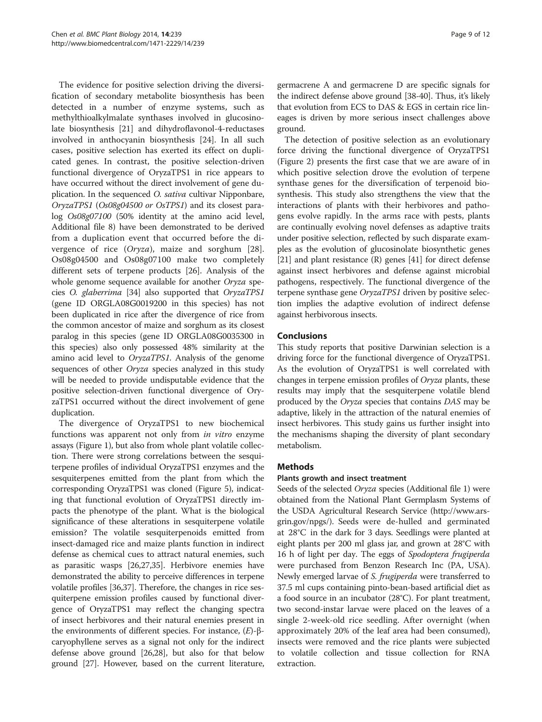The evidence for positive selection driving the diversification of secondary metabolite biosynthesis has been detected in a number of enzyme systems, such as methylthioalkylmalate synthases involved in glucosinolate biosynthesis [[21\]](#page-12-0) and dihydroflavonol-4-reductases involved in anthocyanin biosynthesis [[24](#page-12-0)]. In all such cases, positive selection has exerted its effect on duplicated genes. In contrast, the positive selection-driven functional divergence of OryzaTPS1 in rice appears to have occurred without the direct involvement of gene duplication. In the sequenced O. sativa cultivar Nipponbare, OryzaTPS1 (Os08g04500 or OsTPS1) and its closest paralog Os08g07100 (50% identity at the amino acid level, Additional file [8](#page-12-0)) have been demonstrated to be derived from a duplication event that occurred before the divergence of rice (Oryza), maize and sorghum [\[28](#page-12-0)]. Os08g04500 and Os08g07100 make two completely different sets of terpene products [\[26\]](#page-12-0). Analysis of the whole genome sequence available for another Oryza species O. glaberrima [[34](#page-13-0)] also supported that OryzaTPS1 (gene ID ORGLA08G0019200 in this species) has not been duplicated in rice after the divergence of rice from the common ancestor of maize and sorghum as its closest paralog in this species (gene ID ORGLA08G0035300 in this species) also only possessed 48% similarity at the amino acid level to OryzaTPS1. Analysis of the genome sequences of other Oryza species analyzed in this study will be needed to provide undisputable evidence that the positive selection-driven functional divergence of OryzaTPS1 occurred without the direct involvement of gene duplication.

The divergence of OryzaTPS1 to new biochemical functions was apparent not only from in vitro enzyme assays (Figure [1](#page-4-0)), but also from whole plant volatile collection. There were strong correlations between the sesquiterpene profiles of individual OryzaTPS1 enzymes and the sesquiterpenes emitted from the plant from which the corresponding OryzaTPS1 was cloned (Figure [5](#page-8-0)), indicating that functional evolution of OryzaTPS1 directly impacts the phenotype of the plant. What is the biological significance of these alterations in sesquiterpene volatile emission? The volatile sesquiterpenoids emitted from insect-damaged rice and maize plants function in indirect defense as chemical cues to attract natural enemies, such as parasitic wasps [\[26,27,](#page-12-0)[35](#page-13-0)]. Herbivore enemies have demonstrated the ability to perceive differences in terpene volatile profiles [\[36,37\]](#page-13-0). Therefore, the changes in rice sesquiterpene emission profiles caused by functional divergence of OryzaTPS1 may reflect the changing spectra of insect herbivores and their natural enemies present in the environments of different species. For instance,  $(E)$ -βcaryophyllene serves as a signal not only for the indirect defense above ground [[26,28](#page-12-0)], but also for that below ground [[27](#page-12-0)]. However, based on the current literature,

germacrene A and germacrene D are specific signals for the indirect defense above ground [[38](#page-13-0)-[40](#page-13-0)]. Thus, it's likely that evolution from ECS to DAS & EGS in certain rice lineages is driven by more serious insect challenges above ground.

The detection of positive selection as an evolutionary force driving the functional divergence of OryzaTPS1 (Figure [2\)](#page-5-0) presents the first case that we are aware of in which positive selection drove the evolution of terpene synthase genes for the diversification of terpenoid biosynthesis. This study also strengthens the view that the interactions of plants with their herbivores and pathogens evolve rapidly. In the arms race with pests, plants are continually evolving novel defenses as adaptive traits under positive selection, reflected by such disparate examples as the evolution of glucosinolate biosynthetic genes [[21](#page-12-0)] and plant resistance (R) genes [[41](#page-13-0)] for direct defense against insect herbivores and defense against microbial pathogens, respectively. The functional divergence of the terpene synthase gene OryzaTPS1 driven by positive selection implies the adaptive evolution of indirect defense against herbivorous insects.

#### Conclusions

This study reports that positive Darwinian selection is a driving force for the functional divergence of OryzaTPS1. As the evolution of OryzaTPS1 is well correlated with changes in terpene emission profiles of Oryza plants, these results may imply that the sesquiterpene volatile blend produced by the Oryza species that contains DAS may be adaptive, likely in the attraction of the natural enemies of insect herbivores. This study gains us further insight into the mechanisms shaping the diversity of plant secondary metabolism.

#### Methods

#### Plants growth and insect treatment

Seeds of the selected Oryza species (Additional file [1\)](#page-12-0) were obtained from the National Plant Germplasm Systems of the USDA Agricultural Research Service [\(http://www.ars](http://www.ars-grin.gov/npgs/)[grin.gov/npgs/\)](http://www.ars-grin.gov/npgs/). Seeds were de-hulled and germinated at 28°C in the dark for 3 days. Seedlings were planted at eight plants per 200 ml glass jar, and grown at 28°C with 16 h of light per day. The eggs of Spodoptera frugiperda were purchased from Benzon Research Inc (PA, USA). Newly emerged larvae of *S. frugiperda* were transferred to 37.5 ml cups containing pinto-bean-based artificial diet as a food source in an incubator (28°C). For plant treatment, two second-instar larvae were placed on the leaves of a single 2-week-old rice seedling. After overnight (when approximately 20% of the leaf area had been consumed), insects were removed and the rice plants were subjected to volatile collection and tissue collection for RNA extraction.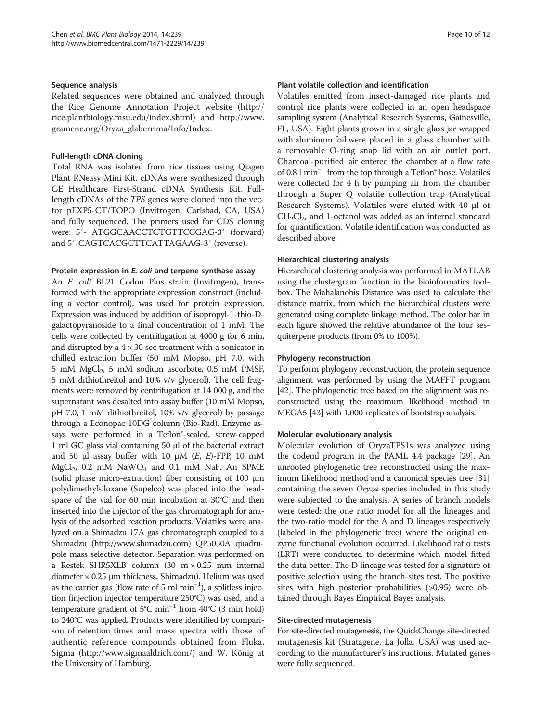#### Sequence analysis

Related sequences were obtained and analyzed through the Rice Genome Annotation Project website [\(http://](http://rice.plantbiology.msu.edu/index.shtml) [rice.plantbiology.msu.edu/index.shtml\)](http://rice.plantbiology.msu.edu/index.shtml) and [http://www.](http://www.gramene.org/Oryza_glaberrima/Info/Index) [gramene.org/Oryza\\_glaberrima/Info/Index.](http://www.gramene.org/Oryza_glaberrima/Info/Index)

#### Full-length cDNA cloning

Total RNA was isolated from rice tissues using Qiagen Plant RNeasy Mini Kit. cDNAs were synthesized through GE Healthcare First-Strand cDNA Synthesis Kit. Fulllength cDNAs of the TPS genes were cloned into the vector pEXP5-CT/TOPO (Invitrogen, Carlsbad, CA, USA) and fully sequenced. The primers used for CDS cloning were: 5′- ATGGCAACCTCTGTTCCGAG-3′ (forward) and 5′-CAGTCACGCTTCATTAGAAG-3′ (reverse).

#### Protein expression in E. coli and terpene synthase assay

An E. coli BL21 Codon Plus strain (Invitrogen), transformed with the appropriate expression construct (including a vector control), was used for protein expression. Expression was induced by addition of isopropyl-1-thio-Dgalactopyranoside to a final concentration of 1 mM. The cells were collected by centrifugation at 4000 g for 6 min, and disrupted by a  $4 \times 30$  sec treatment with a sonicator in chilled extraction buffer (50 mM Mopso, pH 7.0, with 5 mM MgCl<sub>2</sub>, 5 mM sodium ascorbate, 0.5 mM PMSF, 5 mM dithiothreitol and 10% v/v glycerol). The cell fragments were removed by centrifugation at 14 000 g, and the supernatant was desalted into assay buffer (10 mM Mopso, pH 7.0, 1 mM dithiothreitol, 10% v/v glycerol) by passage through a Econopac 10DG column (Bio-Rad). Enzyme assays were performed in a Teflon®-sealed, screw-capped 1 ml GC glass vial containing 50 μl of the bacterial extract and 50 μl assay buffer with 10 μM  $(E, E)$ -FPP, 10 mM  $MgCl<sub>2</sub>$ , 0.2 mM  $NaWO<sub>4</sub>$  and 0.1 mM NaF. An SPME (solid phase micro-extraction) fiber consisting of 100 μm polydimethylsiloxane (Supelco) was placed into the headspace of the vial for 60 min incubation at 30°C and then inserted into the injector of the gas chromatograph for analysis of the adsorbed reaction products. Volatiles were analyzed on a Shimadzu 17A gas chromatograph coupled to a Shimadzu ([http://www.shimadzu.com\)](http://www.shimadzu.com) QP5050A quadrupole mass selective detector. Separation was performed on a Restek SHR5XLB column (30 m × 0.25 mm internal diameter  $\times$  0.25 µm thickness, Shimadzu). Helium was used as the carrier gas (flow rate of 5 ml  $min^{-1}$ ), a splitless injection (injection injector temperature 250°C) was used, and a temperature gradient of 5°C min−<sup>1</sup> from 40°C (3 min hold) to 240°C was applied. Products were identified by comparison of retention times and mass spectra with those of authentic reference compounds obtained from Fluka, Sigma (<http://www.sigmaaldrich.com/>) and W. König at the University of Hamburg.

#### Plant volatile collection and identification

Volatiles emitted from insect-damaged rice plants and control rice plants were collected in an open headspace sampling system (Analytical Research Systems, Gainesville, FL, USA). Eight plants grown in a single glass jar wrapped with aluminum foil were placed in a glass chamber with a removable O-ring snap lid with an air outlet port. Charcoal-purified air entered the chamber at a flow rate of 0.8 l min−<sup>1</sup> from the top through a Teflon® hose. Volatiles were collected for 4 h by pumping air from the chamber through a Super Q volatile collection trap (Analytical Research Systems). Volatiles were eluted with 40 μl of  $CH<sub>2</sub>Cl<sub>2</sub>$ , and 1-octanol was added as an internal standard for quantification. Volatile identification was conducted as described above.

#### Hierarchical clustering analysis

Hierarchical clustering analysis was performed in MATLAB using the clustergram function in the bioinformatics toolbox. The Mahalanobis Distance was used to calculate the distance matrix, from which the hierarchical clusters were generated using complete linkage method. The color bar in each figure showed the relative abundance of the four sesquiterpene products (from 0% to 100%).

#### Phylogeny reconstruction

To perform phylogeny reconstruction, the protein sequence alignment was performed by using the MAFFT program [[42](#page-13-0)]. The phylogenetic tree based on the alignment was reconstructed using the maximum likelihood method in MEGA5 [\[43\]](#page-13-0) with 1,000 replicates of bootstrap analysis.

#### Molecular evolutionary analysis

Molecular evolution of OryzaTPS1s was analyzed using the codeml program in the PAML 4.4 package [\[29](#page-13-0)]. An unrooted phylogenetic tree reconstructed using the maximum likelihood method and a canonical species tree [[31](#page-13-0)] containing the seven Oryza species included in this study were subjected to the analysis. A series of branch models were tested: the one ratio model for all the lineages and the two-ratio model for the A and D lineages respectively (labeled in the phylogenetic tree) where the original enzyme functional evolution occurred. Likelihood ratio tests (LRT) were conducted to determine which model fitted the data better. The D lineage was tested for a signature of positive selection using the branch-sites test. The positive sites with high posterior probabilities (>0.95) were obtained through Bayes Empirical Bayes analysis.

#### Site-directed mutagenesis

For site-directed mutagenesis, the QuickChange site-directed mutagenesis kit (Stratagene, La Jolla, USA) was used according to the manufacturer's instructions. Mutated genes were fully sequenced.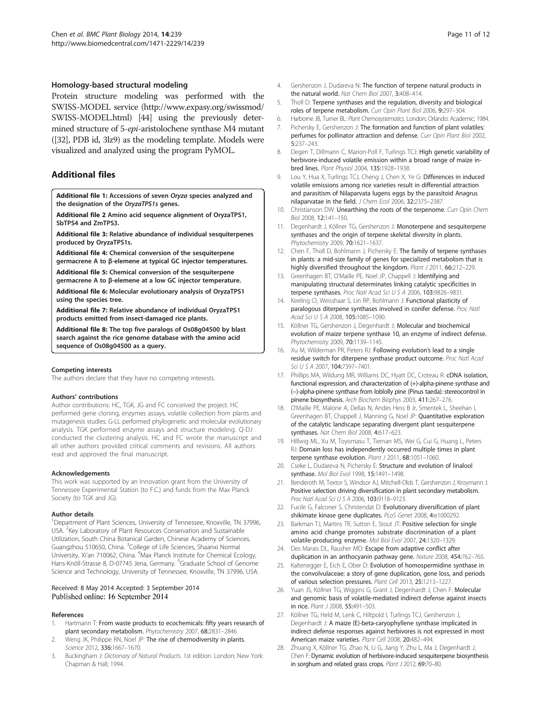#### <span id="page-12-0"></span>Homology-based structural modeling

Protein structure modeling was performed with the SWISS-MODEL service [\(http://www.expasy.org/swissmod/](http://www.expasy.org/swissmod/SWISS-MODEL.html) [SWISS-MODEL.html](http://www.expasy.org/swissmod/SWISS-MODEL.html)) [\[44](#page-13-0)] using the previously determined structure of 5-epi-aristolochene synthase M4 mutant ([[32](#page-13-0)], PDB id, 3lz9) as the modeling template. Models were visualized and analyzed using the program PyMOL.

#### Additional files

[Additional file 1:](http://www.biomedcentral.com/content/supplementary/s12870-014-0239-x-s1.pdf) Accessions of seven Oryza species analyzed and the designation of the OryzaTPS1s genes.

[Additional file 2](http://www.biomedcentral.com/content/supplementary/s12870-014-0239-x-s2.pdf) Amino acid sequence alignment of OryzaTPS1, SbTPS4 and ZmTPS3.

[Additional file 3:](http://www.biomedcentral.com/content/supplementary/s12870-014-0239-x-s3.pdf) Relative abundance of individual sesquiterpenes produced by OryzaTPS1s.

[Additional file 4:](http://www.biomedcentral.com/content/supplementary/s12870-014-0239-x-s4.pdf) Chemical conversion of the sesquiterpene germacrene A to β-elemene at typical GC injector temperatures.

[Additional file 5:](http://www.biomedcentral.com/content/supplementary/s12870-014-0239-x-s5.pdf) Chemical conversion of the sesquiterpene germacrene A to β-elemene at a low GC injector temperature.

[Additional file 6:](http://www.biomedcentral.com/content/supplementary/s12870-014-0239-x-s6.pdf) Molecular evolutionary analysis of OryzaTPS1 using the species tree.

[Additional file 7:](http://www.biomedcentral.com/content/supplementary/s12870-014-0239-x-s7.pdf) Relative abundance of individual OryzaTPS1 products emitted from insect-damaged rice plants.

[Additional file 8:](http://www.biomedcentral.com/content/supplementary/s12870-014-0239-x-s8.pdf) The top five paralogs of Os08g04500 by blast search against the rice genome database with the amino acid sequence of Os08g04500 as a query.

#### Competing interests

The authors declare that they have no competing interests.

#### Authors' contributions

Author contributions: HC, TGK, JG and FC conceived the project. HC performed gene cloning, enzymes assays, volatile collection from plants and mutagenesis studies. G-LL performed phylogenetic and molecular evolutionary analysis. TGK performed enzyme assays and structure modeling. Q-DJ conducted the clustering analysis. HC and FC wrote the manuscript and all other authors provided critical comments and revisions. All authors read and approved the final manuscript.

#### Acknowledgements

This work was supported by an Innovation grant from the University of Tennessee Experimental Station (to F.C.) and funds from the Max Planck Society (to TGK and JG).

#### Author details

<sup>1</sup>Department of Plant Sciences, University of Tennessee, Knoxville, TN 37996, USA. <sup>2</sup> Key Laboratory of Plant Resources Conservation and Sustainable Utilization, South China Botanical Garden, Chinese Academy of Sciences, Guangzhou 510650, China. <sup>3</sup>College of Life Sciences, Shaanxi Normal University, Xi'an 710062, China. <sup>4</sup>Max Planck Institute for Chemical Ecology, Hans-Knöll-Strasse 8, D-07745 Jena, Germany. <sup>5</sup>Graduate School of Genome Science and Technology, University of Tennessee, Knoxville, TN 37996, USA.

#### Received: 8 May 2014 Accepted: 3 September 2014 Published online: 16 September 2014

#### References

- 1. Hartmann T: From waste products to ecochemicals: fifty years research of plant secondary metabolism. Phytochemistry 2007, 68:2831–2846.
- Weng JK, Philippe RN, Noel JP: The rise of chemodiversity in plants. Science 2012, 336:1667–1670.
- 3. Buckingham J: Dictionary of Natural Products. 1st edition. London; New York: Chapman & Hall; 1994.
- 4. Gershenzon J, Dudareva N: The function of terpene natural products in the natural world. Nat Chem Biol 2007, 3:408–414.
- 5. Tholl D: Terpene synthases and the regulation, diversity and biological roles of terpene metabolism. Curr Opin Plant Biol 2006, 9:297–304.
- 6. Harborne JB, Turner BL: Plant Chemosystematics. London; Orlando: Academic; 1984.
- 7. Pichersky E, Gershenzon J: The formation and function of plant volatiles: perfumes for pollinator attraction and defense. Curr Opin Plant Biol 2002, 5:237–243.
- 8. Degen T, Dillmann C, Marion-Poll F, Turlings TCJ: High genetic variability of herbivore-induced volatile emission within a broad range of maize inbred lines. Plant Physiol 2004, 135:1928–1938.
- 9. Lou Y, Hua X, Turlings TCJ, Cheng J, Chen X, Ye G: Differences in induced volatile emissions among rice varieties result in differential attraction and parasitism of Nilaparvata lugens eggs by the parasitoid Anagrus nilaparvatae in the field. J Chem Ecol 2006, 32:2375–2387.
- 10. Christianson DW: Unearthing the roots of the terpenome. Curr Opin Chem Biol 2008, 12:141–150.
- 11. Degenhardt J, Köllner TG, Gershenzon J: Monoterpene and sesquiterpene synthases and the origin of terpene skeletal diversity in plants. Phytochemistry 2009, 70:1621–1637.
- 12. Chen F, Tholl D, Bohlmann J, Pichersky E: The family of terpene synthases in plants: a mid-size family of genes for specialized metabolism that is highly diversified throughout the kingdom. Plant J 2011, 66:212-229.
- 13. Greenhagen BT, O'Maille PE, Noel JP, Chappell J: Identifying and manipulating structural determinates linking catalytic specificities in terpene synthases. Proc Natl Acad Sci U S A 2006, 103:9826-9831.
- 14. Keeling CI, Weisshaar S, Lin RP, Bohlmann J: Functional plasticity of paralogous diterpene synthases involved in conifer defense. Proc Natl Acad Sci U S A 2008, 105:1085-1090.
- 15. Köllner TG, Gershenzon J, Degenhardt J: Molecular and biochemical evolution of maize terpene synthase 10, an enzyme of indirect defense. Phytochemistry 2009, 70:1139–1145.
- 16. Xu M, Wilderman PR, Peters RJ: Following evolution's lead to a single residue switch for diterpene synthase product outcome. Proc Natl Acad Sci U S A 2007, 104:7397–7401.
- 17. Phillips MA, Wildung MR, Williams DC, Hyatt DC, Croteau R: cDNA isolation, functional expression, and characterization of (+)-alpha-pinene synthase and (−)-alpha-pinene synthase from loblolly pine (Pinus taeda): stereocontrol in pinene biosynthesis. Arch Biochem Biophys 2003, 411:267–276.
- 18. O'Maille PE, Malone A, Dellas N, Andes Hess B Jr, Smentek L, Sheehan I, Greenhagen BT, Chappell J, Manning G, Noel JP: Quantitative exploration of the catalytic landscape separating divergent plant sesquiterpene synthases. Nat Chem Biol 2008, 4:617-623.
- 19. Hillwig ML, Xu M, Toyomasu T, Tiernan MS, Wei G, Cui G, Huang L, Peters RJ: Domain loss has independently occurred multiple times in plant terpene synthase evolution. Plant J 2011, 68:1051-1060.
- 20. Cseke L, Dudareva N, Pichersky E: Structure and evolution of linalool synthase. Mol Biol Evol 1998, 15:1491–1498.
- 21. Benderoth M, Textor S, Windsor AJ, Mitchell-Olds T, Gershenzon J, Kroymann J: Positive selection driving diversification in plant secondary metabolism. Proc Natl Acad Sci U S A 2006, 103:9118-9123.
- 22. Fucile G, Falconer S, Christendat D: Evolutionary diversification of plant shikimate kinase gene duplicates. PLoS Genet 2008, 4:e1000292.
- 23. Barkman TJ, Martins TR, Sutton E, Stout JT: Positive selection for single amino acid change promotes substrate discrimination of a plant volatile-producing enzyme. Mol Biol Evol 2007, 24:1320–1329.
- 24. Des Marais DL, Rausher MD: Escape from adaptive conflict after duplication in an anthocyanin pathway gene. Nature 2008, 454:762–765.
- 25. Kaltenegger E, Eich E, Ober D: Evolution of homospermidine synthase in the convolvulaceae: a story of gene duplication, gene loss, and periods of various selection pressures. Plant Cell 2013, 25:1213–1227.
- 26. Yuan JS, Köllner TG, Wiggins G, Grant J, Degenhardt J, Chen F: Molecular and genomic basis of volatile-mediated indirect defense against insects in rice. Plant J 2008, 55:491–503.
- 27. Köllner TG, Held M, Lenk C, Hiltpold I, Turlings TCJ, Gershenzon J, Degenhardt J: A maize (E)-beta-caryophyllene synthase implicated in indirect defense responses against herbivores is not expressed in most American maize varieties. Plant Cell 2008, 20:482–494.
- 28. Zhuang X, Köllner TG, Zhao N, Li G, Jiang Y, Zhu L, Ma J, Degenhardt J, Chen F: Dynamic evolution of herbivore-induced sesquiterpene biosynthesis in sorghum and related grass crops. Plant J 2012, 69:70-80.